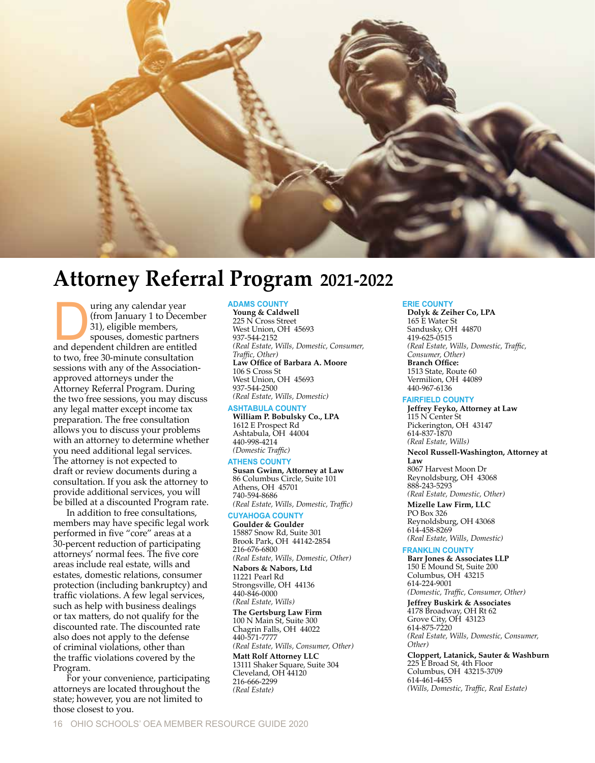

# **Attorney Referral Program 2021-2022**

Figure 1 and the Universal of the Manuary 1 to Decembers, spouses, domestic partners and dependent children are entitled (from January 1 to December 31), eligible members, spouses, domestic partners to two, free 30-minute consultation sessions with any of the Associationapproved attorneys under the Attorney Referral Program. During the two free sessions, you may discuss any legal matter except income tax preparation. The free consultation allows you to discuss your problems with an attorney to determine whether you need additional legal services. The attorney is not expected to draft or review documents during a consultation. If you ask the attorney to provide additional services, you will be billed at a discounted Program rate.

In addition to free consultations, members may have specific legal work performed in five "core" areas at a 30-percent reduction of participating attorneys' normal fees. The five core areas include real estate, wills and estates, domestic relations, consumer protection (including bankruptcy) and traffic violations. A few legal services, such as help with business dealings or tax matters, do not qualify for the discounted rate. The discounted rate also does not apply to the defense of criminal violations, other than the traffic violations covered by the Program.

For your convenience, participating attorneys are located throughout the state; however, you are not limited to those closest to you.

# **ADAMS COUNTY**

**Young & Caldwell** 225 N Cross Street West Union, OH 45693 937-544-2152 *(Real Estate, Wills, Domestic, Consumer, Traffic, Other)* **Law Office of Barbara A. Moore** 106 S Cross St West Union, OH 45693 937-544-2500 *(Real Estate, Wills, Domestic)*

## **ASHTABULA COUNTY**

**William P. Bobulsky Co., LPA** 1612 E Prospect Rd Ashtabula, OH 44004 440-998-4214 *(Domestic Traffic)*

### **ATHENS COUNTY**

**Susan Gwinn, Attorney at Law** 86 Columbus Circle, Suite 101 Athens, OH 45701 740-594-8686 *(Real Estate, Wills, Domestic, Traffic)*

## **CUYAHOGA COUNTY**

**Goulder & Goulder** 15887 Snow Rd, Suite 301 Brook Park, OH 44142-2854 216-676-6800 *(Real Estate, Wills, Domestic, Other)* **Nabors & Nabors, Ltd** 11221 Pearl Rd Strongsville, OH 44136 440-846-0000 *(Real Estate, Wills)* **The Gertsburg Law Firm** 100 N Main St, Suite 300 Chagrin Falls, OH 44022 440-571-7777 *(Real Estate, Wills, Consumer, Other)* **Matt Rolf Attorney LLC** 13111 Shaker Square, Suite 304 Cleveland, OH 44120 216-666-2299 *(Real Estate)*

## **ERIE COUNTY**

**Dolyk & Zeiher Co, LPA** 165 E Water St Sandusky, OH 44870 419-625-0515 *(Real Estate, Wills, Domestic, Traffic, Consumer, Other)* **Branch Office:** 1513 State, Route 60 Vermilion, OH 44089 440-967-6136

## **FAIRFIELD COUNTY**

**Jeffrey Feyko, Attorney at Law** 115 N Center St Pickerington, OH 43147 614-837-1870 *(Real Estate, Wills)*

#### **Necol Russell-Washington, Attorney at**

**Law** 8067 Harvest Moon Dr Reynoldsburg, OH 43068 888-243-5293 *(Real Estate, Domestic, Other)*

**Mizelle Law Firm, LLC** PO Box 326 Reynoldsburg, OH 43068 614-458-8269 *(Real Estate, Wills, Domestic)*

## **FRANKLIN COUNTY**

**Barr Jones & Associates LLP** 150 E Mound St, Suite 200 Columbus, OH 43215 614-224-9001 *(Domestic, Traffic, Consumer, Other)* **Jeffrey Buskirk & Associates** 4178 Broadway, OH Rt 62 Grove City, OH 43123 614-875-7220 *(Real Estate, Wills, Domestic, Consumer, Other)* **Cloppert, Latanick, Sauter & Washburn** 225 E Broad St, 4th Floor

Columbus, OH 43215-3709 614-461-4455 *(Wills, Domestic, Traffic, Real Estate)*